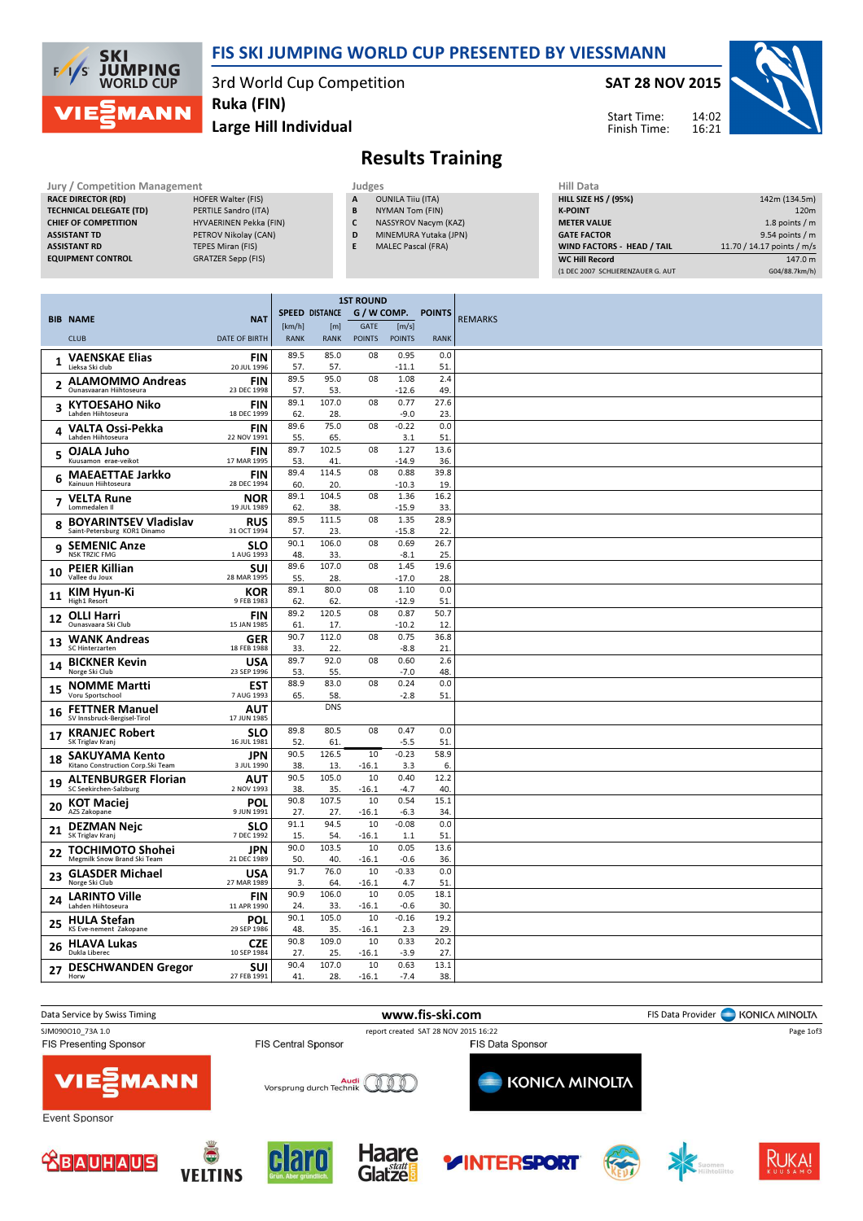

## FIS SKI JUMPING WORLD CUP PRESENTED BY VIESSMANN

3rd World Cup Competition Ruka (FIN)

Large Hill Individual

SAT 28 NOV 2015



Start Time: Finish Time:

## Results Training

| Jury / Competition Management  |                               | Judges |                           | Hill Data             |
|--------------------------------|-------------------------------|--------|---------------------------|-----------------------|
| <b>RACE DIRECTOR (RD)</b>      | HOFER Walter (FIS)            | A      | <b>OUNILA Tiiu (ITA)</b>  | HILL SIZE HS / (9     |
| <b>TECHNICAL DELEGATE (TD)</b> | PERTILE Sandro (ITA)          | B      | NYMAN Tom (FIN)           | <b>K-POINT</b>        |
| <b>CHIEF OF COMPETITION</b>    | <b>HYVAERINEN Pekka (FIN)</b> |        | NASSYROV Nacym (KAZ)      | <b>METER VALUE</b>    |
| <b>ASSISTANT TD</b>            | PETROV Nikolay (CAN)          | D      | MINEMURA Yutaka (JPN)     | <b>GATE FACTOR</b>    |
| <b>ASSISTANT RD</b>            | TEPES Miran (FIS)             |        | <b>MALEC Pascal (FRA)</b> | <b>WIND FACTORS</b>   |
| <b>EQUIPMENT CONTROL</b>       | GRATZER Sepp (FIS)            |        |                           | <b>WC Hill Record</b> |
|                                |                               |        |                           |                       |

| HIII Data                         |                            |
|-----------------------------------|----------------------------|
| <b>HILL SIZE HS / (95%)</b>       | 142m (134.5m)              |
| <b>K-POINT</b>                    | 120 <sub>m</sub>           |
| <b>METER VALUE</b>                | 1.8 points $/m$            |
| <b>GATE FACTOR</b>                | 9.54 points / m            |
| WIND FACTORS - HEAD / TAIL        | 11.70 / 14.17 points / m/s |
| <b>WC Hill Record</b>             | 147.0 m                    |
| (1 DEC 2007 SCHLIERENZAUER G. AUT | G04/88.7km/h)              |

|    |                                                        |                           | <b>1ST ROUND</b> |                |               |                   |               |                |
|----|--------------------------------------------------------|---------------------------|------------------|----------------|---------------|-------------------|---------------|----------------|
|    | <b>BIB NAME</b>                                        | <b>NAT</b>                |                  | SPEED DISTANCE | G / W COMP.   |                   | <b>POINTS</b> | <b>REMARKS</b> |
|    |                                                        |                           | [km/h]           | [m]            | <b>GATE</b>   | [m/s]             |               |                |
|    | <b>CLUB</b>                                            | <b>DATE OF BIRTH</b>      | <b>RANK</b>      | <b>RANK</b>    | <b>POINTS</b> | <b>POINTS</b>     | <b>RANK</b>   |                |
| 1  | <b>VAENSKAE Elias</b><br>Lieksa Ski club               | <b>FIN</b><br>20 JUL 1996 | 89.5<br>57.      | 85.0<br>57.    | 08            | 0.95<br>$-11.1$   | 0.0<br>51     |                |
| 2  | <b>ALAMOMMO Andreas</b>                                | <b>FIN</b>                | 89.5             | 95.0           | 08            | 1.08              | 2.4           |                |
|    | Ounasyaaran Hiihtoseura                                | 23 DEC 1998               | 57.              | 53.            |               | $-12.6$           | 49            |                |
| 3  | <b>KYTOESAHO Niko</b><br>Lahden Hiihtoseura            | <b>FIN</b><br>18 DEC 1999 | 89.1<br>62       | 107.0<br>28.   | 08            | 0.77<br>$-9.0$    | 27.6<br>23    |                |
| 4  | VALTA Ossi-Pekka<br>Lahden Hiihtoseura                 | <b>FIN</b><br>22 NOV 1991 | 89.6<br>55       | 75.0<br>65.    | 08            | $-0.22$<br>3.1    | 0.0<br>51     |                |
| 5  | OJALA Juho<br>Kuusamon erae-veikot                     | <b>FIN</b><br>17 MAR 1995 | 89.7<br>53.      | 102.5<br>41    | 08            | 1.27<br>$-14.9$   | 13.6<br>36.   |                |
| 6  | <b>MAEAETTAE Jarkko</b><br>Kainuun Hiihtoseura         | <b>FIN</b><br>28 DEC 1994 | 89.4<br>60       | 114.5<br>20    | 08            | 0.88<br>$-10.3$   | 39.8<br>19    |                |
|    | <b>VELTA Rune</b>                                      | <b>NOR</b>                | 89.1             | 104.5          | 08            | 1.36              | 16.2          |                |
| 7  | Lommedalen II                                          | 19 JUL 1989               | 62.              | 38.            |               | $-15.9$           | 33            |                |
| 8  | <b>BOYARINTSEV Vladislav</b>                           | <b>RUS</b>                | 89.5             | 111.5          | 08            | 1.35              | 28.9          |                |
|    | Saint-Petersburg KOR1 Dinamo                           | 31 OCT 1994               | 57.              | 23             |               | $-15.8$           | 22            |                |
| 9  | <b>SEMENIC Anze</b><br><b>NSK TRZIC FMG</b>            | <b>SLO</b><br>1 AUG 1993  | 90.1<br>48.      | 106.0<br>33.   | 08            | 0.69<br>$-8.1$    | 26.7<br>25    |                |
| 10 | <b>PEIER Killian</b><br>Vallee du Joux                 | <b>SUI</b><br>28 MAR 1995 | 89.6<br>55.      | 107.0<br>28.   | 08            | 1.45<br>$-17.0$   | 19.6<br>28.   |                |
| 11 | KIM Hyun-Ki<br>High1 Resort                            | <b>KOR</b><br>9 FEB 1983  | 89.1<br>62.      | 80.0<br>62.    | 08            | 1.10<br>$-12.9$   | 0.0<br>51     |                |
| 12 | <b>OLLI Harri</b><br>Ounasvaara Ski Club               | <b>FIN</b><br>15 JAN 1985 | 89.2<br>61.      | 120.5<br>17.   | 08            | 0.87<br>$-10.2$   | 50.7<br>12    |                |
|    | <b>WANK Andreas</b>                                    | <b>GER</b>                | 90.7             | 112.0          | 08            | 0.75              | 36.8          |                |
| 13 | SC Hinterzarten                                        | 18 FEB 1988               | 33.              | 22.            |               | $-8.8$            | 21            |                |
| 14 | <b>BICKNER Kevin</b><br>Norge Ski Club                 | USA<br>23 SEP 1996        | 89.7<br>53.      | 92.0<br>55.    | 08            | 0.60<br>$-7.0$    | 2.6<br>48.    |                |
| 15 | <b>NOMME Martti</b><br>Voru Sportschool                | <b>EST</b><br>7 AUG 1993  | 88.9<br>65       | 83.0<br>58.    | 08            | 0.24<br>$-2.8$    | 0.0<br>51     |                |
| 16 | <b>FETTNER Manuel</b><br>SV Innsbruck-Bergisel-Tirol   | AUT<br>17 JUN 1985        |                  | <b>DNS</b>     |               |                   |               |                |
| 17 | <b>KRANJEC Robert</b><br>SK Triglav Kranj              | <b>SLO</b><br>16 JUL 1981 | 89.8<br>52.      | 80.5<br>61     | 08            | 0.47<br>$-5.5$    | 0.0<br>51     |                |
|    | SAKUYAMA Kento                                         | <b>JPN</b>                | 90.5             | 126.5          | 10            | $-0.23$           | 58.9          |                |
| 18 | Kitano Construction Corp.Ski Team                      | 3 JUL 1990                | 38               | 13.            | $-16.1$       | 3.3               | 6.            |                |
| 19 | <b>ALTENBURGER Florian</b><br>SC Seekirchen-Salzburg   | <b>AUT</b><br>2 NOV 1993  | 90.5<br>38       | 105.0<br>35.   | 10<br>$-16.1$ | 0.40<br>-4.7      | 12.2<br>40.   |                |
| 20 | <b>KOT Maciej</b><br>AZS Zakopane                      | POL<br>9 JUN 1991         | 90.8<br>27.      | 107.5<br>27.   | 10<br>$-16.1$ | 0.54<br>$-6.3$    | 15.1<br>34    |                |
| 21 | <b>DEZMAN Nejc</b><br>SK Triglav Kranj                 | <b>SLO</b><br>7 DEC 1992  | 91.1<br>15.      | 94.5<br>54.    | 10<br>$-16.1$ | $-0.08$<br>1.1    | 0.0<br>51     |                |
| 22 | <b>TOCHIMOTO Shohei</b><br>Megmilk Snow Brand Ski Team | <b>JPN</b><br>21 DEC 1989 | 90.0<br>50.      | 103.5<br>40.   | 10<br>-16.1   | 0.05<br>$-0.6$    | 13.6<br>36.   |                |
| 23 | <b>GLASDER Michael</b><br>Norge Ski Club               | <b>USA</b><br>27 MAR 1989 | 91.7<br>3.       | 76.0<br>64     | 10<br>$-16.1$ | $-0.33$<br>4.7    | 0.0<br>51     |                |
| 24 | <b>LARINTO Ville</b>                                   | <b>FIN</b>                | 90.9             | 106.0<br>33.   | 10            | 0.05              | 18.1          |                |
|    | Lahden Hiihtoseura                                     | 11 APR 1990               | 24.<br>90.1      | 105.0          | -16.1<br>10   | $-0.6$<br>$-0.16$ | 30.<br>19.2   |                |
| 25 | <b>HULA Stefan</b><br>KS Eve-nement Zakopane           | POL<br>29 SEP 1986        | 48.              | 35.            | $-16.1$       | 2.3               | 29.           |                |
| 26 | <b>HLAVA Lukas</b><br>Dukla Liberec                    | <b>CZE</b><br>10 SEP 1984 | 90.8<br>27.      | 109.0<br>25.   | 10<br>$-16.1$ | 0.33<br>$-3.9$    | 20.2<br>27    |                |
| 27 | <b>DESCHWANDEN Gregor</b><br>Horw                      | <b>SUI</b><br>27 FEB 1991 | 90.4<br>41.      | 107.0<br>28.   | 10<br>$-16.1$ | 0.63<br>$-7.4$    | 13.1<br>38.   |                |
|    |                                                        |                           |                  |                |               |                   |               |                |

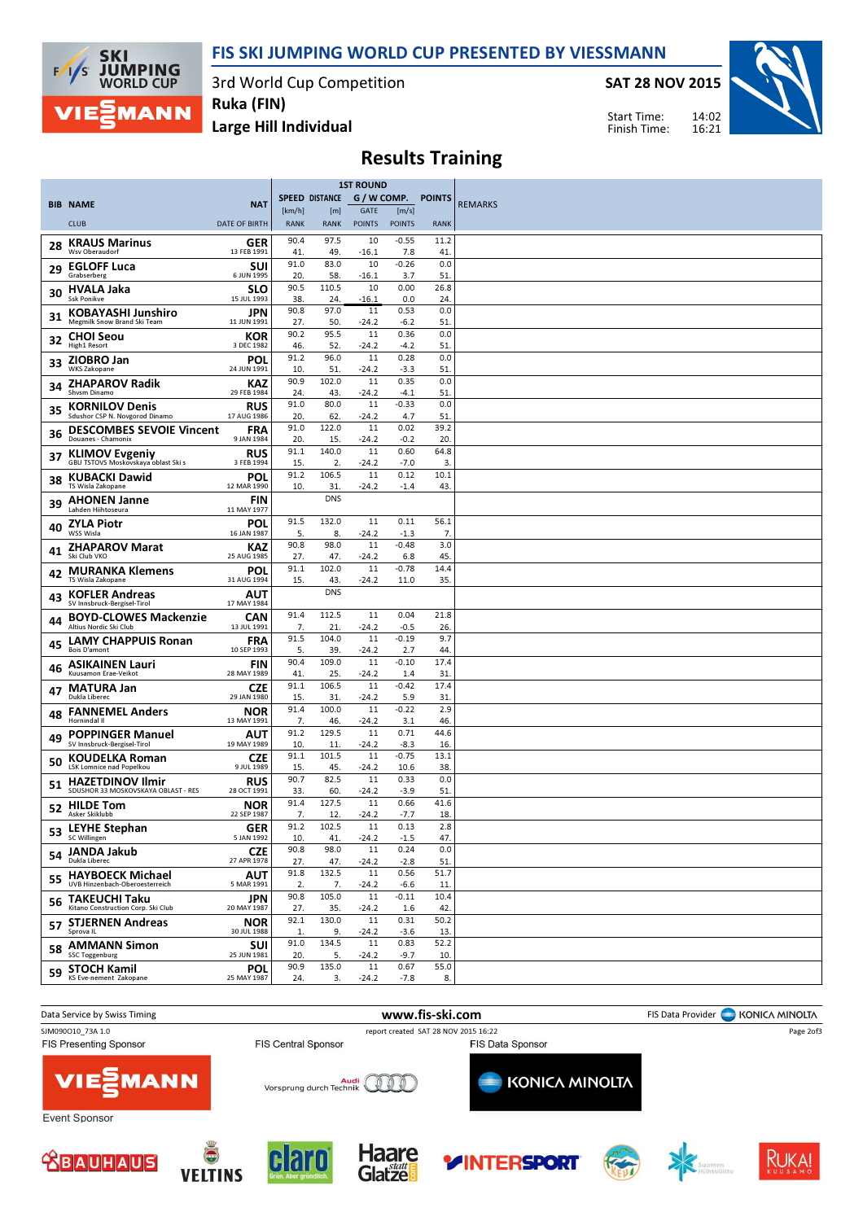

**SKI JUMPING**<br>WORLD CUP  $F/I$ /s **MANN** 

3rd World Cup Competition Ruka (FIN)

Large Hill Individual

SAT 28 NOV 2015

14:02 16:21 Start Time: Finish Time:



## Results Training

|     |                                                                |                           | <b>1ST ROUND</b>      |                       |                       |                        |               |                |
|-----|----------------------------------------------------------------|---------------------------|-----------------------|-----------------------|-----------------------|------------------------|---------------|----------------|
|     | <b>BIB NAME</b>                                                | <b>NAT</b>                |                       | <b>SPEED DISTANCE</b> | G / W COMP.           |                        | <b>POINTS</b> | <b>REMARKS</b> |
|     | <b>CLUB</b>                                                    | <b>DATE OF BIRTH</b>      | [km/h]<br><b>RANK</b> | [m]<br><b>RANK</b>    | GATE<br><b>POINTS</b> | [m/s]<br><b>POINTS</b> | <b>RANK</b>   |                |
| 28  | <b>KRAUS Marinus</b>                                           | GER                       | 90.4                  | 97.5                  | 10                    | $-0.55$                | 11.2          |                |
|     | Wsv Oberaudorf                                                 | 13 FEB 1991               | 41<br>91.0            | 49.<br>83.0           | $-16.1$<br>10         | 7.8<br>$-0.26$         | 41<br>0.0     |                |
| 29  | <b>EGLOFF Luca</b><br>Grabserberg                              | <b>SUI</b><br>6 JUN 1995  | 20.                   | 58.                   | $-16.1$               | 3.7                    | 51            |                |
| 30  | <b>HVALA Jaka</b><br><b>Ssk Ponikve</b>                        | <b>SLO</b><br>15 JUL 1993 | 90.5<br>38.           | 110.5<br>24.          | 10<br>$-16.1$         | 0.00<br>0.0            | 26.8<br>24.   |                |
| 31  | <b>KOBAYASHI Junshiro</b><br>Megmilk Snow Brand Ski Team       | JPN<br>11 JUN 1991        | 90.8<br>27.           | 97.0<br>50.           | 11<br>-24.2           | 0.53<br>$-6.2$         | 0.0<br>51     |                |
| 32  | <b>CHOI Seou</b>                                               | KOR                       | 90.2                  | 95.5                  | 11                    | 0.36                   | 0.0           |                |
| 33  | High1 Resort<br>ZIOBRO Jan                                     | 3 DEC 1982<br>POL         | 46.<br>91.2           | 52.<br>96.0           | $-24.2$<br>11         | -4.2<br>0.28           | 51<br>0.0     |                |
|     | <b>WKS Zakopane</b><br><b>ZHAPAROV Radik</b>                   | 24 JUN 1991<br>KAZ        | 10.<br>90.9           | 51<br>102.0           | $-24.2$<br>11         | $-3.3$<br>0.35         | 51<br>0.0     |                |
| 34  | Shvsm Dinamo                                                   | 29 FEB 1984               | 24.                   | 43.                   | $-24.2$               | -4.1                   | 51            |                |
| 35  | <b>KORNILOV Denis</b><br>Sdushor CSP N. Novgorod Dinamo        | RUS<br>17 AUG 1986        | 91.0<br>20.           | 80.0<br>62.           | 11<br>$-24.2$         | $-0.33$<br>4.7         | 0.0<br>51     |                |
| 36  | <b>DESCOMBES SEVOIE Vincent</b><br>Douanes - Chamonix          | <b>FRA</b><br>9 JAN 1984  | 91.0<br>20.           | 122.0<br>15.          | 11<br>-24.2           | 0.02<br>$-0.2$         | 39.2<br>20    |                |
| 37  | <b>KLIMOV Evgeniy</b><br>GBU TSTOVS Moskovskaya oblast Ski s   | <b>RUS</b><br>3 FEB 1994  | 91.1<br>15            | 140.0<br>2.           | 11<br>$-24.2$         | 0.60<br>$-7.0$         | 64.8<br>3     |                |
| 38  | <b>KUBACKI Dawid</b>                                           | POL                       | 91.2                  | 106.5                 | 11                    | 0.12                   | 10.1          |                |
| 39  | TS Wisla Zakopane<br><b>AHONEN Janne</b>                       | 12 MAR 1990<br><b>FIN</b> | 10.                   | 31<br><b>DNS</b>      | $-24.2$               | $-1.4$                 | 43            |                |
|     | Lahden Hiihtoseura<br><b>ZYLA Piotr</b>                        | 11 MAY 1977<br><b>POL</b> | 91.5                  | 132.0                 | 11                    | 0.11                   | 56.1          |                |
| 40  | WSS Wisla                                                      | 16 JAN 1987               | 5.<br>90.8            | 8.<br>98.0            | $-24.2$<br>11         | $-1.3$<br>$-0.48$      | 7.<br>3.0     |                |
| 41  | <b>ZHAPAROV Marat</b><br>Ski Club VKO                          | KAZ<br>25 AUG 1985        | 27.                   | 47.                   | $-24.2$               | 6.8                    | 45            |                |
| 42  | <b>MURANKA Klemens</b><br>TS Wisla Zakopane                    | <b>POL</b><br>31 AUG 1994 | 91.1<br>15.           | 102.0<br>43.          | 11<br>$-24.2$         | $-0.78$<br>11.0        | 14.4<br>35    |                |
| 43  | <b>KOFLER Andreas</b><br>SV Innsbruck-Bergisel-Tirol           | AUT<br>17 MAY 1984        |                       | <b>DNS</b>            |                       |                        |               |                |
| 44  | <b>BOYD-CLOWES Mackenzie</b><br>Altius Nordic Ski Club         | <b>CAN</b><br>13 JUL 1991 | 91.4<br>7.            | 112.5<br>21           | 11<br>-24.2           | 0.04<br>$-0.5$         | 21.8<br>26.   |                |
| 45  | <b>LAMY CHAPPUIS Ronan</b><br>Bois D'amont                     | <b>FRA</b><br>10 SEP 1993 | 91.5<br>5.            | 104.0<br>39.          | 11<br>$-24.2$         | $-0.19$<br>2.7         | 9.7<br>44.    |                |
| 46  | <b>ASIKAINEN Lauri</b>                                         | <b>FIN</b>                | 90.4                  | 109.0                 | 11                    | $-0.10$                | 17.4          |                |
|     | Kuusamon Erae-Veikot<br><b>MATURA Jan</b>                      | 28 MAY 1989<br>CZE        | 41<br>91.1            | 25.<br>106.5          | -24.2<br>11           | 1.4<br>$-0.42$         | 31<br>17.4    |                |
| 47  | Dukla Liberec                                                  | 29 JAN 1980               | 15.<br>91.4           | 31.<br>100.0          | $-24.2$<br>11         | 5.9<br>$-0.22$         | 31<br>2.9     |                |
| 48  | <b>FANNEMEL Anders</b><br>Hornindal II                         | NOR<br>13 MAY 1991        | 7.                    | 46.                   | $-24.2$               | 3.1                    | 46.           |                |
| 49  | <b>POPPINGER Manuel</b><br>SV Innsbruck-Bergisel-Tirol         | AUT<br>19 MAY 1989        | 91.2<br>10.           | 129.5<br>11           | 11<br>-24.2           | 0.71<br>$-8.3$         | 44.6<br>16    |                |
| 50  | <b>KOUDELKA Roman</b><br><b>LSK Lomnice nad Popelkou</b>       | <b>CZE</b><br>9 JUL 1989  | 91.1<br>15.           | 101.5<br>45.          | 11<br>$-24.2$         | $-0.75$<br>10.6        | 13.1<br>38.   |                |
| 51  | <b>HAZETDINOV Ilmir</b><br>SDUSHOR 33 MOSKOVSKAYA OBLAST - RES | RUS<br>28 OCT 1991        | 90.7<br>33.           | 82.5<br>60.           | 11<br>$-24.2$         | 0.33<br>$-3.9$         | 0.0<br>51     |                |
| 52  | <b>HILDE Tom</b><br>Asker Skiklubb                             | NOR<br>22 SEP 1987        | 91.4<br>7.            | 127.5<br>12.          | 11                    | 0.66<br>$-7.7$         | 41.6<br>18.   |                |
| 53. | <b>LEYHE Stephan</b>                                           | <b>GER</b>                | 91.2                  | 102.5                 | $-24.2$<br>11         | 0.13                   | 2.8           |                |
| 54  | SC Willingen<br>JANDA Jakub                                    | 5 JAN 1992<br><b>CZE</b>  | 10.<br>90.8           | 41<br>98.0            | $-24.2$<br>11         | $-1.5$<br>0.24         | 47.<br>0.0    |                |
|     | Dukla Liberec<br>55 HAYBOECK Michael                           | 27 APR 1978<br>AUT        | 27.<br>91.8           | 47.<br>132.5          | $-24.2$<br>11         | $-2.8$<br>0.56         | 51.<br>51.7   |                |
|     | UVB Hinzenbach-Oberoesterreich                                 | 5 MAR 1991                | 2.<br>90.8            | 7.<br>105.0           | $-24.2$<br>11         | $-6.6$<br>$-0.11$      | 11.<br>10.4   |                |
| 56  | <b>TAKEUCHI Taku</b><br>Kitano Construction Corp. Ski Club     | <b>JPN</b><br>20 MAY 1987 | 27.                   | 35.                   | $-24.2$               | 1.6                    | 42.           |                |
| 57  | <b>STJERNEN Andreas</b><br>Sprova IL                           | <b>NOR</b><br>30 JUL 1988 | 92.1<br>1.            | 130.0<br>9.           | 11<br>$-24.2$         | 0.31<br>$-3.6$         | 50.2<br>13.   |                |
|     | 58 AMMANN Simon                                                | <b>SUI</b><br>25 JUN 1981 | 91.0<br>20.           | 134.5<br>5.           | 11<br>$-24.2$         | 0.83<br>$-9.7$         | 52.2<br>10.   |                |
|     | 59 STOCH Kamil                                                 | <b>POL</b>                | 90.9                  | 135.0                 | 11                    | 0.67                   | 55.0          |                |
|     | KS Eve-nement Zakopane                                         | 25 MAY 1987               | 24.                   | 3.                    | $-24.2$               | $-7.8$                 | 8.            |                |